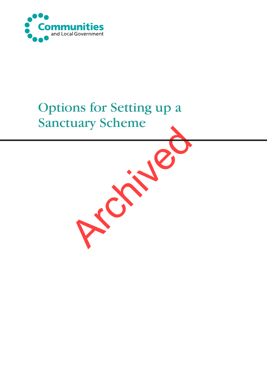

# Options for Setting up a Sanctuary Scheme

Archives 16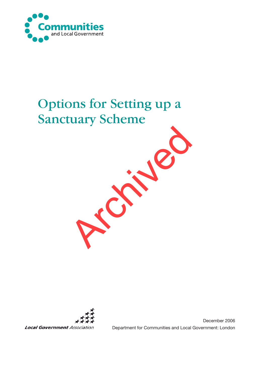

# Options for Setting up a Sanctuary Scheme





December 2006 Department for Communities and Local Government: London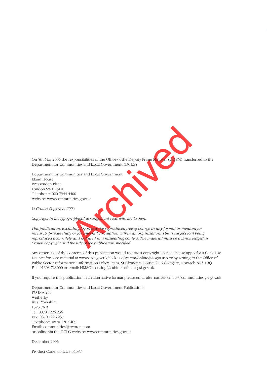On 5th May 2006 the responsibilities of the Office of the Deputy Prime Minister (ODPM) transferred to the Department for Communities and Local Government (DCLG)

Department for Communities and Local Government Eland House Bressenden Place London SW1E 5DU Telephone: 020 7944 4400 Website: www.communities.gov.uk

© *Crown Copyright 2006*

*Copyright in the typographical arrangement rests with the Crown.*

responsibilities of the Office of the Deputy Prime<br>
munities and Local Government<br>
munities and Local Government<br>
4400<br>
Archived a dividend and responding the Crown.<br>
Experience of charge in any format or medity<br>
or for in *This publication, excluding logos, may be reproduced free of charge in any format or medium for research, private study or for internal circulation within an organisation. This is subject to it being reproduced accurately and not used in a misleading context. The material must be acknowledged as Crown copyright and the title of the publication specified.* 

Any other use of the contents of this publication would require a copyright licence. Please apply for a Click-Use Licence for core material at www.opsi.gov.uk/click-use/system/online/pLogin.asp or by writing to the Office of Public Sector Information, Information Policy Team, St Clements House, 2-16 Colegate, Norwich NR3 1BQ. Fax: 01603 723000 or email: HMSOlicensing@cabinet-office.x.gsi.gov.uk.

If you require this publication in an alternative format please email alternativeformats@communities.gsi.gov.uk

Department for Communities and Local Government Publications PO Box 236 Wetherby West Yorkshire LS23 7NB Tel: 0870 1226 236 Fax: 0870 1226 237 Textphone: 0870 1207 405 Email: communities@twoten.com or online via the DCLG website: www.communities.gov.uk

December 2006

Product Code: 06 HHS 04087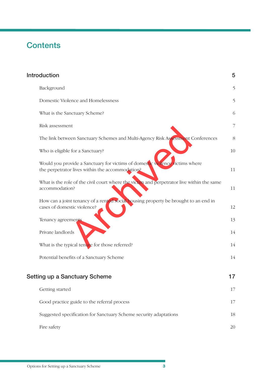## **Contents**

| <b>Introduction</b>                                                                                                             | 5  |
|---------------------------------------------------------------------------------------------------------------------------------|----|
| Background                                                                                                                      | 5  |
| Domestic Violence and Homelessness                                                                                              | 5  |
| What is the Sanctuary Scheme?                                                                                                   | 6  |
| Risk assessment                                                                                                                 | 7  |
| The link between Sanctuary Schemes and Multi-Agency Risk Assessment Conferences                                                 | 8  |
| Who is eligible for a Sanctuary?                                                                                                | 10 |
| Would you provide a Sanctuary for victims of domestic violence victims where<br>the perpetrator lives within the accommodation? | 11 |
| What is the role of the civil court where the victim and perpetrator live within the same<br>accommodation?                     | 11 |
| How can a joint tenancy of a rented social housing property be brought to an end in<br>cases of domestic violence?              | 12 |
| Tenancy agreements                                                                                                              | 13 |
| Private landlords                                                                                                               | 14 |
| What is the typical tenure for those referred?                                                                                  | 14 |
| Potential benefits of a Sanctuary Scheme                                                                                        | 14 |
| Setting up a Sanctuary Scheme                                                                                                   | 17 |
| Getting started                                                                                                                 | 17 |
| Good practice guide to the referral process                                                                                     | 17 |
| Suggested specification for Sanctuary Scheme security adaptations                                                               | 18 |
| Fire safety                                                                                                                     | 20 |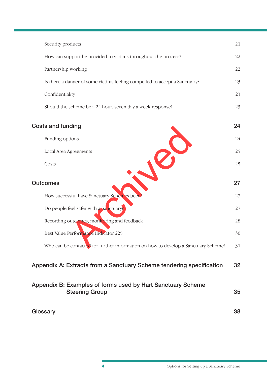| Security products                                                                    | 21 |
|--------------------------------------------------------------------------------------|----|
| How can support be provided to victims throughout the process?                       | 22 |
| Partnership working                                                                  | 22 |
| Is there a danger of some victims feeling compelled to accept a Sanctuary?           | 23 |
| Confidentiality                                                                      | 23 |
| Should the scheme be a 24 hour, seven day a week response?                           | 23 |
| <b>Costs and funding</b>                                                             | 24 |
| Funding options                                                                      | 24 |
| Local Area Agreements                                                                | 25 |
| Costs                                                                                | 25 |
| <b>Outcomes</b>                                                                      | 27 |
| How successful have Sanctuary Schemes been?                                          | 27 |
| Do people feel safer with a Sanctuary?                                               | 27 |
| Recording outcomes, monitoring and feedback                                          | 28 |
| Best Value Performance Indicator 225                                                 | 30 |
| Who can be contacted for further information on how to develop a Sanctuary Scheme?   | 31 |
| Appendix A: Extracts from a Sanctuary Scheme tendering specification                 | 32 |
| Appendix B: Examples of forms used by Hart Sanctuary Scheme<br><b>Steering Group</b> | 35 |
| Glossary                                                                             | 38 |
|                                                                                      |    |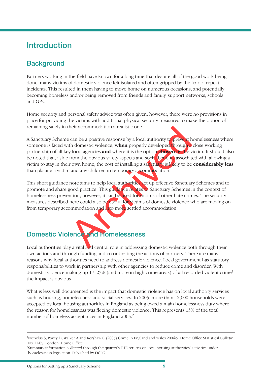## **Introduction**

## **Background**

Partners working in the field have known for a long time that despite all of the good work being done, many victims of domestic violence felt isolated and often gripped by the fear of repeat incidents. This resulted in them having to move home on numerous occasions, and potentially becoming homeless and/or being removed from friends and family, support networks, schools and GPs.

Home security and personal safety advice was often given, however, there were no provisions in place for providing the victims with additional physical security measures to make the option of remaining safely in their accommodation a realistic one.

Their accommodation a realistic one.<br>
The a positive response by a local authority to prevent the domestic violence, when properly developed through a<br>
y local agencies and where it is the option the set of where  $\frac{1}{2}$ A Sanctuary Scheme can be a positive response by a local authority to prevent homelessness where someone is faced with domestic violence, **when** properly developed through a close working partnership of all key local agencies **and** where it is the option **chosen** by the victim. It should also be noted that, aside from the obvious safety aspects and social benefits associated with allowing a victim to stay in their own home, the cost of installing a sanctuary is likely to be **considerably less** than placing a victim and any children in temporary accommodation.

This short guidance note aims to help local authorities set up effective Sanctuary Schemes and to promote and share good practice. This guidance relates to Sanctuary Schemes in the context of homelessness prevention, however, it can be used for victims of other hate crimes. The security measures described here could also be useful for victims of domestic violence who are moving on from temporary accommodation and into more settled accommodation.

## **Domestic Violence and Homelessness**

Local authorities play a vital and central role in addressing domestic violence both through their own actions and through funding and co-ordinating the actions of partners. There are many reasons why local authorities need to address domestic violence. Local government has statutory responsibilities to work in partnership with other agencies to reduce crime and disorder. With domestic violence making up  $17-25\%$  (and more in high crime areas) of all recorded violent crime<sup>1</sup>, the impact is obvious.

What is less well documented is the impact that domestic violence has on local authority services such as housing, homelessness and social services. In 2005, more than 12,000 households were accepted by local housing authorities in England as being owed a main homelessness duty where the reason for homelessness was fleeing domestic violence. This represents 13% of the total number of homeless acceptances in England 2005.2

<sup>&</sup>lt;sup>1</sup> Nicholas S, Povey D, Walker A and Kershaw C (2005) Crime in England and Wales 2004/5. Home Office Statistical Bulletin No 11/05. London: Home Office.

<sup>&</sup>lt;sup>2</sup>Summary information collected through the quarterly P1E returns on local housing authorities' activities under homelessness legislation. Published by DCLG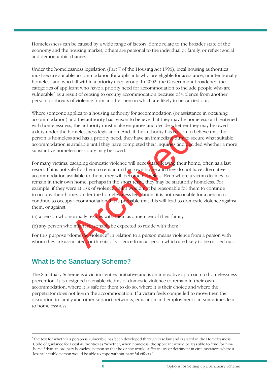Homelessness can be caused by a wide range of factors. Some relate to the broader state of the economy and the housing market, others are personal to the individual or family, or reflect social and demographic change.

Under the homelessness legislation (Part 7 of the Housing Act 1996), local housing authorities must secure suitable accommodation for applicants who are eligible for assistance, unintentionally homeless and who fall within a priority need group. In 2002, the Government broadened the categories of applicant who have a priority need for accommodation to include people who are vulnerable<sup>3</sup> as a result of ceasing to occupy accommodation because of violence from another person, or threats of violence from another person which are likely to be carried out.

Where someone applies to a housing authority for accommodation (or assistance in obtaining accommodation) and the authority has reason to believe that they may be homeless or threatened with homelessness, the authority must make enquiries and decide whether they may be owed a duty under the homelessness legislation. And, if the authority has reason to believe that the person is homeless and has a priority need, they have an immediate duty to secure what suitable accommodation is available until they have completed their inquiries and decided whether a more substantive homelessness duty may be owed.

In the state of the state of the state of the state of the state of the state of the state of the state of the state of the state of the state of the state of the state of the state of the state of the state of the state o For many victims, escaping domestic violence will necessitate leaving their home, often as a last resort. If it is not safe for them to remain in their own home and they do not have alternative accommodation available to them, they will become homeless. Even where a victim decides to remain in their own home, perhaps in the short term, they may be statutorily homeless. For example, if they were at risk of violence and it would not be reasonable for them to continue to occupy their home. Under the homelessness legislation, it is not reasonable for a person to continue to occupy accommodation if it is probable that this will lead to domestic violence against them, or against

- (a) a person who normally resides with them as a member of their family
- (b) any person who might reasonably be expected to reside with them

For this purpose "domestic violence" in relation to a person means violence from a person with whom they are associated, or threats of violence from a person which are likely to be carried out.

### **What is the Sanctuary Scheme?**

The Sanctuary Scheme is a victim centred initiative and is an innovative approach to homelessness prevention. It is designed to enable victims of domestic violence to remain in their own accommodation, where it is safe for them to do so, where it is their choice and where the perpetrator does not live in the accommodation. If a victim feels compelled to move then the disruption to family and other support networks, education and employment can sometimes lead to homelessness.

<sup>&</sup>lt;sup>3</sup>The test for whether a person is vulnerable has been developed through case law and is stated in the Homelessness Code of guidance for Local Authorities as "whether, when homeless, the applicant would be less able to fend for him/ herself than an ordinary homeless person so that he or she would suffer injury or detriment in circumstances where a less vulnerable person would be able to cope without harmful effects."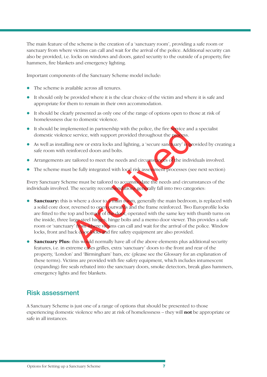The main feature of the scheme is the creation of a 'sanctuary room', providing a safe room or sanctuary from where victims can call and wait for the arrival of the police. Additional security can also be provided, i.e. locks on windows and doors, gated security to the outside of a property, fire hammers, fire blankets and emergency lighting.

Important components of the Sanctuary Scheme model include:

- The scheme is available across all tenures.
- It should only be provided where it is the clear choice of the victim and where it is safe and appropriate for them to remain in their own accommodation.
- l It should be clearly presented as only one of the range of options open to those at risk of homelessness due to domestic violence.
- $\bullet$  It should be implemented in partnership with the police, the fire service and a specialist domestic violence service, with support provided throughout the process.
- As well as installing new or extra locks and lighting, a 'secure sanctuary' is provided by creating a safe room with reinforced doors and bolts.
- Arrangements are tailored to meet the needs and circumstances of the individuals involved.
- $\bullet$  The scheme must be fully integrated with local risk assessment processes (see next section)

Every Sanctuary Scheme must be tailored to accommodate the needs and circumstances of the individuals involved. The security recommendations generally fall into two categories:

- lemented in partnership with the police, the fire service and<br>e service, with support provided throughout the process.<br>In g new or extra locks and lighting, a 'secure sand uary' is periforced doors and bolts.<br>Etailored to **Sanctuary:** this is where a door to a main room, generally the main bedroom, is replaced with a solid core door, reversed to open outwards and the frame reinforced. Two Europrofile locks are fitted to the top and bottom of the door, operated with the same key with thumb turns on the inside, three large steel hinges, hinge bolts and a memo door viewer. This provides a safe room or 'sanctuary' from where victims can call and wait for the arrival of the police. Window locks, front and back door locks and fire safety equipment are also provided.
- **Sanctuary Plus:** this would normally have all of the above elements plus additional security features, i.e. in extreme cases grilles, extra 'sanctuary' doors to the front and rear of the property, 'London' and 'Birmingham' bars, etc (please see the Glossary for an explanation of these terms). Victims are provided with fire safety equipment, which includes intumescent (expanding) fire seals rebated into the sanctuary doors, smoke detectors, break glass hammers, emergency lights and fire blankets.

### **Risk assessment**

A Sanctuary Scheme is just one of a range of options that should be presented to those experiencing domestic violence who are at risk of homelessness – they will **not** be appropriate or safe in all instances.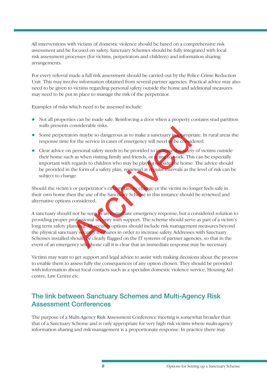All interventions with victims of domestic violence should be based on a comprehensive risk assessment and be focused on safety. Sanctuary Schemes should be fully integrated with local risk assessment processes (for victims, perpetrators and children) and information sharing arrangements.

For every referral made a full risk assessment should be carried out by the Police Crime Reduction Unit. This may involve information obtained from several partner agencies. Practical advice may also need to be given to victims regarding personal safety outside the home and additional measures may need to be put in place to manage the risk of the perpetrator.

Examples of risks which need to be assessed include:

- l Not all properties can be made safe. Reinforcing a door when a property contains stud partition walls presents considerable risks.
- Some perpetrators maybe so dangerous as to make a sanctuary inappropriate. In rural areas the response time for the service in cases of emergency will need to be considered.
- Clear advice on personal safety needs to be provided to increase the safety of victims outside their home such as when visiting family and friends, or going to work. This can be especially important with regards to children who may be playing outside the home. The advice should be provided in the form of a safety plan, reviewed at regular intervals as the level of risk can be subject to change.

Should the victim's or perpetrator's circumstances change or the victim no longer feels safe in their own home then the use of the Sanctuary Scheme in this instance should be reviewed and alternative options considered.

tonstactable risks.<br>
Archived in a same a sanctuary inappropr<br>
for the service in cases of emergency will need to be considered<br>
in personal safety needs to be provided to increase the safety<br>
change of the switch as when A sanctuary should not be seen as an immediate emergency response, but a considered solution to providing proper professional security with support. The scheme should serve as part of a victim's long term safety planning. All security options should include risk management measures beyond the physical sanctuary security measures in order to increase safety. Addresses with Sanctuary Schemes installed should be clearly flagged on the IT systems of partner agencies, so that in the event of an emergency telephone call it is clear that an immediate response may be necessary.

Victims may want to get support and legal advice to assist with making decisions about the process to enable them to assess fully the consequences of any option chosen. They should be provided with information about local contacts such as a specialist domestic violence service, Housing Aid centre, Law Centre etc.

### **The link between Sanctuary Schemes and Multi-Agency Risk Assessment Conferences**

The purpose of a Multi-Agency Risk Assessment Conference meeting is somewhat broader than that of a Sanctuary Scheme and is only appropriate for very high risk victims where multi-agency information sharing and risk management is a proportionate response. In practice there may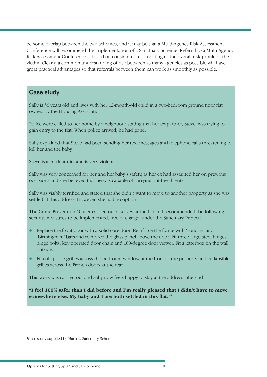be some overlap between the two schemes, and it may be that a Multi-Agency Risk Assessment Conference will recommend the implementation of a Sanctuary Scheme. Referral to a Multi-Agency Risk Assessment Conference is based on constant criteria relating to the overall risk profile of the victim. Clearly, a common understanding of risk between as many agencies as possible will have great practical advantages so that referrals between them can work as smoothly as possible.

### **Case study**

Sally is 36 years old and lives with her 12-month-old child in a two-bedroom ground floor flat owned by the Housing Association.

Police were called to her home by a neighbour stating that her ex-partner, Steve, was trying to gain entry to the flat. When police arrived, he had gone.

Sally explained that Steve had been sending her text messages and telephone calls threatening to kill her and the baby.

Steve is a crack addict and is very violent.

Sally was very concerned for her and her baby's safety, as her ex had assaulted her on previous occasions and she believed that he was capable of carrying out the threats.

Sally was visibly terrified and stated that she didn't want to move to another property as she was settled at this address. However, she had no option.

The Crime Prevention Officer carried out a survey at the flat and recommended the following security measures to be implemented, free of charge, under the Sanctuary Project:

- at. When police arrived, he had gone.<br>
Steve had been sending her text messages and telephone of<br>
Sy.<br>
Lict and is very violent.<br>
Exerced for her and her baby's safety, as her ex had assaulted<br>
believed that he was capable l Replace the front door with a solid core door. Reinforce the frame with 'London' and 'Birmingham' bars and reinforce the glass panel above the door. Fit three large steel hinges, hinge bolts, key operated door chain and 180-degree door viewer. Fit a letterbox on the wall outside.
- l Fit collapsible grilles across the bedroom window at the front of the property and collapsible grilles across the French doors at the rear.

This work was carried out and Sally now feels happy to stay at the address. She said

**"I feel 100% safer than I did before and I'm really pleased that I didn't have to move**  somewhere else. My baby and I are both settled in this flat."<sup>4</sup>

<sup>&</sup>lt;sup>4</sup> Case study supplied by Harrow Sanctuary Scheme.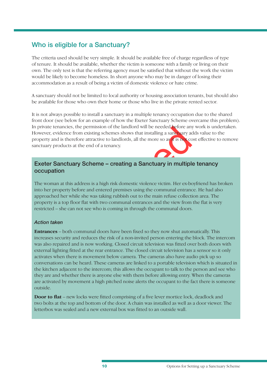### **Who is eligible for a Sanctuary?**

The criteria used should be very simple. It should be available free of charge regardless of type of tenure. It should be available, whether the victim is someone with a family or living on their own. The only test is that the referring agency must be satisfied that without the work the victim would be likely to become homeless. In short anyone who may be in danger of losing their accommodation as a result of being a victim of domestic violence or hate crime.

A sanctuary should not be limited to local authority or housing association tenants, but should also be available for those who own their home or those who live in the private rented sector.

It is not always possible to install a sanctuary in a multiple tenancy occupation due to the shared front door (see below for an example of how the Exeter Sanctuary Scheme overcame this problem). In private tenancies, the permission of the landlord will be needed before any work is undertaken. However, evidence from existing schemes shows that installing a sanctuary adds value to the property and is therefore attractive to landlords, all the more so as it is not cost effective to remove sanctuary products at the end of a tenancy.

### **Exeter Sanctuary Scheme – creating a Sanctuary in multiple tenancy occupation**

Example 12 and the land of will be needed a series and<br>the from existing schemes shows that installing a sanct vary accere<br>fore attractive to landlords, all the more so as *x* is not<br>at as at the end of a tenancy.<br>**Larry** The woman at this address is a high risk domestic violence victim. Her ex-boyfriend has broken into her property before and entered premises using the communal entrance. He had also approached her while she was taking rubbish out to the main refuse collection area. The property is a top floor flat with two communal entrances and the view from the flat is very restricted – she can not see who is coming in through the communal doors.

#### *Action taken*

**Entrances** – both communal doors have been fixed so they now shut automatically. This increases security and reduces the risk of a non-invited person entering the block. The intercom was also repaired and is now working. Closed circuit television was fitted over both doors with external lighting fitted at the rear entrance. The closed circuit television has a sensor so it only activates when there is movement below camera. The cameras also have audio pick up so conversations can be heard. These cameras are linked to a portable television which is situated in the kitchen adjacent to the intercom; this allows the occupant to talk to the person and see who they are and whether there is anyone else with them before allowing entry. When the cameras are activated by movement a high pitched noise alerts the occupant to the fact there is someone outside.

**Door to flat** – new locks were fitted comprising of a five lever mortice lock, deadlock and two bolts at the top and bottom of the door. A chain was installed as well as a door viewer. The letterbox was sealed and a new external box was fitted to an outside wall.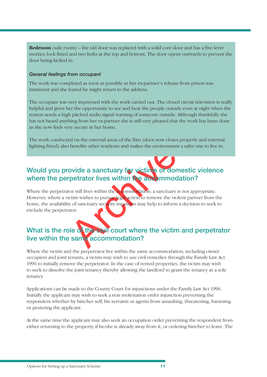**Bedroom** (safe room) – the old door was replaced with a solid core door and has a five lever mortice lock fitted and two bolts at the top and bottom. The door opens outwards to prevent the door being kicked in.

#### *General feelings from occupant*

The work was completed as soon as possible as her ex-partner's release from prison was imminent and she feared he might return to the address.

The occupant was very impressed with the work carried out. The closed circuit television is really helpful and gives her the opportunity to see and hear the people outside even at night when the system sends a high pitched audio signal warning of someone outside. Although thankfully she has not heard anything from her ex-partner she is still very pleased that the work has been done as she now feels very secure in her home.

The work conducted on the external areas of the flats (door now closes properly and external lighting fitted) also benefits other residents and makes the environment a safer one to live in.

## **Would you provide a sanctuary for victims of domestic violence where the perpetrator lives within the accommodation?**

France in her home.<br>
Ed on the external areas of the flats (door now closes proper<br>
benefits other residents and makes the environment a safe<br> **ovide a sanctuary for victims of domestic**<br> **ovide a sanctuary for victims of** Where the perpetrator still lives within the accommodation, a sanctuary is not appropriate. However, where a victim wishes to pursue legal action to remove the violent partner from the home, the availability of sanctuary security measures may help to inform a decision to seek to exclude the perpetrator.

## **What is the role of the civil court where the victim and perpetrator live within the same accommodation?**

Where the victim and the perpetrator live within the same accommodation, including owner occupiers and joint tenants, a victim may wish to use civil remedies through the Family Law Act 1996 to initially remove the perpetrator. In the case of rented properties, the victim may wish to seek to dissolve the joint tenancy thereby allowing the landlord to grant the tenancy as a sole tenancy.

Applications can be made to the County Court for injunctions under the Family Law Act 1996. Initially the applicant may wish to seek a non molestation order injunction preventing the respondent whether by him/her self, his servants or agents from assaulting, threatening, harassing or pestering the applicant.

At the same time the applicant may also seek an occupation order preventing the respondent from either returning to the property, if he/she is already away from it, or ordering him/her to leave. The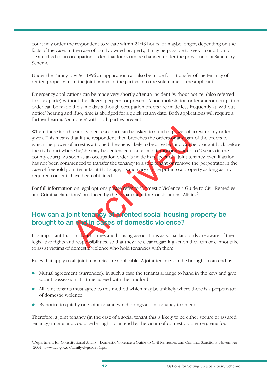court may order the respondent to vacate within 24/48 hours, or maybe longer, depending on the facts of the case. In the case of jointly owned property, it may be possible to seek a condition to be attached to an occupation order, that locks can be changed under the provision of a Sanctuary Scheme.

Under the Family Law Act 1996 an application can also be made for a transfer of the tenancy of rented property from the joint names of the parties into the sole name of the applicant.

Emergency applications can be made very shortly after an incident 'without notice' (also referred to as ex-parte) without the alleged perpetrator present. A non-molestation order and/or occupation order can be made the same day although occupation orders are made less frequently at 'without notice' hearing and if so, time is abridged for a quick return date. Both applications will require a further hearing 'on-notice' with both parties present.

the dividence a court can be asked to attach a power of that if the respondent then breaches the orders **and can**<br>the dividence of archived in the specifical density of archived and samples<br>are he/she may be sentenced to a Where there is a threat of violence a court can be asked to attach a power of arrest to any order given. This means that if the respondent then breaches the orders or any part of the orders to which the power of arrest is attached, he/she is likely to be arrested and can be brought back before the civil court where he/she may be sentenced to a term of imprisonment up to 2 years (in the county court). As soon as an occupation order is made in respect of a joint tenancy, even if action has not been commenced to transfer the tenancy to a sole tenant or remove the perpetrator in the case of freehold joint tenants, at that stage, a sanctuary can be put into a property as long as any required consents have been obtained.

For full information on legal options please refer to 'Domestic Violence a Guide to Civil Remedies and Criminal Sanctions' produced by the Department for Constitutional Affairs.<sup>5</sup>

## How can a joint tenancy of a rented social housing property be **brought to an end in cases of domestic violence?**

It is important that local authorities and housing associations as social landlords are aware of their legislative rights and responsibilities, so that they are clear regarding action they can or cannot take to assist victims of domestic violence who hold tenancies with them.

Rules that apply to all joint tenancies are applicable. A joint tenancy can be brought to an end by:

- Mutual agreement (surrender). In such a case the tenants arrange to hand in the keys and give vacant possession at a time agreed with the landlord
- All joint tenants must agree to this method which may be unlikely where there is a perpetrator of domestic violence.
- l By notice to quit by one joint tenant, which brings a joint tenancy to an end.

Therefore, a joint tenancy (in the case of a social tenant this is likely to be either secure or assured tenancy) in England could be brought to an end by the victim of domestic violence giving four

<sup>5</sup> Department for Constitutional Affairs: 'Domestic Violence a Guide to Civil Remedies and Criminal Sanctions' November 2004: www.dca.gov.uk/family/dvguide04.pdf.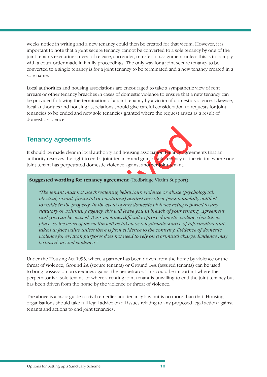weeks notice in writing and a new tenancy could then be created for that victim. However, it is important to note that a joint secure tenancy cannot be converted to a sole tenancy by one of the joint tenants executing a deed of release, surrender, transfer or assignment unless this is to comply with a court order made in family proceedings. The only way for a joint secure tenancy to be converted to a single tenancy is for a joint tenancy to be terminated and a new tenancy created in a sole name.

Local authorities and housing associations are encouraged to take a sympathetic view of rent arrears or other tenancy breaches in cases of domestic violence to ensure that a new tenancy can be provided following the termination of a joint tenancy by a victim of domestic violence. Likewise, local authorities and housing associations should give careful consideration to requests for joint tenancies to be ended and new sole tenancies granted where the request arises as a result of domestic violence.

### **Tenancy agreements**

It should be made clear in local authority and housing association tenancy agreements that an authority reserves the right to end a joint tenancy and grant a sole tenancy to the victim, where one joint tenant has perpetrated domestic violence against another joint tenant.

#### **Suggested wording for tenancy agreement** (Redbridge Victim Support)

Example 11 Ional authority and housing association to any agree<br>
Lear in local authority and housing association to any agree<br>
Learning for tenancy agreement (Redbridge Victim Support)<br>
nust not use threatening behaviour, *"The tenant must not use threatening behaviour, violence or abuse (psychological, physical, sexual, fi nancial or emotional) against any other person lawfully entitled to reside in the property. In the event of any domestic violence being reported to any statutory or voluntary agency, this will leave you in breach of your tenancy agreement*  and you can be evicted. It is sometimes difficult to prove domestic violence has taken *place, so the word of the victim will be taken as a legitimate source of information and taken at face value unless there is firm evidence to the contrary. Evidence of domestic violence for eviction purposes does not need to rely on a criminal charge. Evidence may be based on civil evidence."*

Under the Housing Act 1996, where a partner has been driven from the home by violence or the threat of violence, Ground 2A (secure tenants) or Ground 14A (assured tenants) can be used to bring possession proceedings against the perpetrator. This could be important where the perpetrator is a sole tenant, or where a renting joint tenant is unwilling to end the joint tenancy but has been driven from the home by the violence or threat of violence.

The above is a basic guide to civil remedies and tenancy law but is no more than that. Housing organisations should take full legal advice on all issues relating to any proposed legal action against tenants and actions to end joint tenancies.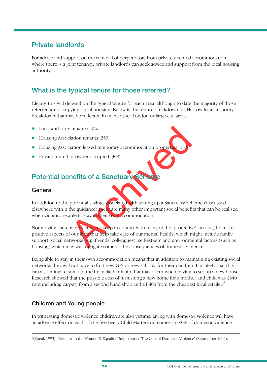### **Private landlords**

For advice and support on the removal of perpetrators from privately rented accommodation where there is a joint tenancy, private landlords can seek advice and support from the local housing authority.

## **What is the typical tenure for those referred?**

Clearly, this will depend on the typical tenure for each area, although to date the majority of those referred are occupying social housing. Below is the tenure breakdown for Harrow local authority, a breakdown that may be reflected in many other London or large city areas.

- Local authority tenants: 30%
- Housing Association tenants: 25%
- **IDED** Housing Association leased temporary accommodation properties: 15%
- Private rented or owner occupied: 30%

## **Potential benefits of a Sanctuary Scheme**

### **General**

In addition to the potential savings associated with setting up a Sanctuary Scheme (discussed elsewhere within the guidance) there are many other important social benefits that can be realised when victims are able to stay in their own accommodation.

Exercise of a Sanctuary Scheen and environment and the transition and the process of the state of a Sanctuary Scheen and Sanctuary Scheen and the process of the state of our mental scheen and environment social benefit abl Not moving can enable victims to keep in contact with many of the 'protective' factors (the more positive aspects of our lives that help take care of our mental health) which might include family support, social networks (e.g. friends, colleagues), self-esteem and environmental factors (such as housing) which may well mitigate some of the consequences of domestic violence.

Being able to stay in their own accommodation means that in addition to maintaining existing social networks they will not have to find new GPs or new schools for their children. It is likely that this can also mitigate some of the financial hardship that may occur when having to set up a new house. Research showed that the possible cost of furnishing a new home for a mother and child was £640 (not including carpet) from a second hand shop and  $$1,400$  from the cheapest local retailer.<sup>6</sup>

### **Children and Young people**

In witnessing domestic violence children are also victims. Living with domestic violence will have an adverse effect on each of the five Every Child Matters outcomes. In 90% of domestic violence

 $6$ (Speak 1995). Taken from the Women & Equality Unit's report 'The Cost of Domestic Violence' (September 2004).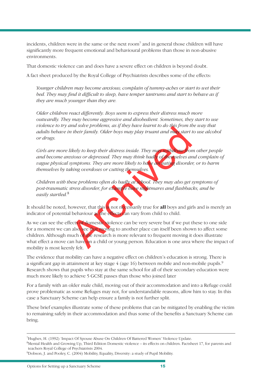incidents, children were in the same or the next room<sup>7</sup> and in general those children will have significantly more frequent emotional and behavioural problems than those in non-abusive environments.

That domestic violence can and does have a severe effect on children is beyond doubt.

A fact sheet produced by the Royal College of Psychiatrists describes some of the effects:

*Younger children may become anxious; complain of tummy-aches or start to wet their*  bed. They may find it difficult to sleep, have temper tantrums and start to behave as if *they are much younger than they are.*

*Older children react differently. Boys seem to express their distress much more outwardly. They may become aggressive and disobedient. Sometimes, they start to use violence to try and solve problems, as if they have learnt to do this from the way that adults behave in their family. Older boys may play truant and may start to use alcohol or drugs.*

*Girls are more likely to keep their distress inside. They may withdraw from other people and become anxious or depressed. They may think badly of themselves and complain of vague physical symptoms. They are more likely to have an eating disorder, or to harm themselves by taking overdoses or cutting themselves.*

*Children with these problems often do badly at school. They may also get symptoms of post-traumatic stress disorder, for example have nightmares and flashbacks, and be easily startled.*<sup>8</sup>

It should be noted, however, that this is not necessarily true for **all** boys and girls and is merely an indicator of potential behaviour as the effects can vary from child to child.

Archives the problems, as y they back each at to act they start to the their family. Older boys may play truant and may start to their family. Older boys may play truant and may start to their family. Older boys may play t As we can see the effects of domestic violence can be very severe but if we put these to one side for a moment we can also see that moving to another place can itself been shown to affect some children. Although much of the research is more relevant to frequent moving it does illustrate what effect a move can have on a child or young person. Education is one area where the impact of mobility is most keenly felt.

The evidence that mobility can have a negative effect on children's education is strong. There is a significant gap in attainment at key stage  $4$  (age 16) between mobile and non-mobile pupils.<sup>9</sup> Research shows that pupils who stay at the same school for all of their secondary education were much more likely to achieve 5 GCSE passes than those who joined later

For a family with an older male child, moving out of their accommodation and into a Refuge could prove problematic as some Refuges may not, for understandable reasons, allow him to stay. In this case a Sanctuary Scheme can help ensure a family is not further split.

These brief examples illustrate some of these problems that can be mitigated by enabling the victim to remaining safely in their accommodation and thus some of the benefits a Sanctuary Scheme can bring.

<sup>7</sup> Hughes, H. (1992) 'Impact Of Spouse Abuse On Children Of Battered Women' Violence Update.

<sup>8</sup> Mental Health and Growing Up, Third Edition Domestic violence – its effects on children. Factsheet 17, for parents and teachers Royal College of Psychiatrists 2004.

<sup>9</sup> Dobson, J. and Pooley, C. (2004) Mobility, Equality, Diversity: a study of Pupil Mobility.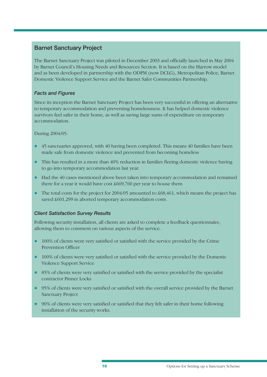### **Barnet Sanctuary Project**

The Barnet Sanctuary Project was piloted in December 2003 and officially launched in May 2004 by Barnet Council's Housing Needs and Resources Section. It is based on the Harrow model and as been developed in partnership with the ODPM (now DCLG), Metropolitan Police, Barnet Domestic Violence Support Service and the Barnet Safer Communities Partnership.

### *Facts and Figures*

Since its inception the Barnet Sanctuary Project has been very successful in offering an alternative to temporary accommodation and preventing homelessness. It has helped domestic violence survivors feel safer in their home, as well as saving large sums of expenditure on temporary accommodation.

#### During 2004/05:

- s approved, with 40 having been completed. This means 40<br>sm domestic violence and prevented from becoming homel<br>lted in a more than 40% reduction in families fleeing domes<br>nporary accommodation last year.<br>asses mentioned a l 45 sanctuaries approved, with 40 having been completed. This means 40 families have been made safe from domestic violence and prevented from becoming homeless
- $\bullet$  This has resulted in a more than 40% reduction in families fleeing domestic violence having to go into temporary accommodation last year.
- $\bullet$  Had the 40 cases mentioned above been taken into temporary accommodation and remained there for a year it would have cost £669,760 per year to house them
- $\bullet$  The total costs for the project for 2004/05 amounted to  $\text{\$68,461,}$  which means the project has saved  $$601,299$  in aborted temporary accommodation costs.

#### *Client Satisfaction Survey Results*

Following security installation, all clients are asked to complete a feedback questionnaire, allowing them to comment on various aspects of the service.

- $\bullet$  100% of clients were very satisfied or satisfied with the service provided by the Crime Prevention Officer
- 100% of clients were very satisfied or satisfied with the service provided by the Domestic Violence Support Service
- $\bullet$  85% of clients were very satisfied or satisfied with the service provided by the specialist contractor Pinner Locks
- 95% of clients were very satisfied or satisfied with the overall service provided by the Barnet Sanctuary Project
- 90% of clients were very satisfied or satisfied that they felt safer in their home following installation of the security works.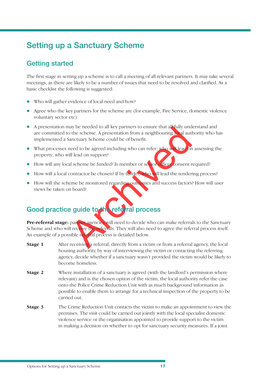## **Setting up a Sanctuary Scheme**

## **Getting started**

The first stage in setting up a scheme is to call a meeting of all relevant partners. It may take several meetings, as there are likely to be a number of issues that need to be resolved and clarified. As a basic checklist the following is suggested:

- Who will gather evidence of local need and how?
- l Agree who the key partners for the scheme are (for example, Fire Service, domestic violence voluntary sector etc).
- A presentation may be needed to all key partners to ensure that all fully understand and are committed to the scheme. A presentation from a neighbouring local authority who has implemented a Sanctuary Scheme could be of benefit.
- What processes need to be agreed including who can refer; who will lead on assessing the property; who will lead on support?
- $\bullet$  How will any local scheme be funded? Is member or senior officer consent required?
- How will a local contractor be chosen? If by tender, who will lead the tendering process?
- **.** How will the scheme be monitored regarding outcomes and success factors? How will user views be taken on board?

## **Good practice guide to the referral process**

The scheme of the step at a process is detailed below.<br>
The scheme of the scheme of the scheme of the scheme of the scheme of the scheme of the scheme of the scheme of the scheme ill lead on support?<br>
All scheme be funded? Pre-referral stage: partner agencies will need to decide who can make referrals to the Sanctuary Scheme and who will receive the referrals. They will also need to agree the referral process itself. An example of a possible referral process is detailed below.

- **Stage 1** After receiving a referral, directly from a victim or from a referral agency, the local housing authority, by way of interviewing the victim or contacting the referring agency, decide whether if a sanctuary wasn't provided the victim would be likely to become homeless.
- **Stage 2** Where installation of a sanctuary is agreed (with the landlord's permission where relevant) and is the chosen option of the victim, the local authority refer the case onto the Police Crime Reduction Unit with as much background information as possible to enable them to arrange for a technical inspection of the property to be carried out.
- **Stage 3** The Crime Reduction Unit contacts the victim to make an appointment to view the premises. The visit could be carried out jointly with the local specialist domestic violence service or the organisation appointed to provide support to the victim in making a decision on whether to opt for sanctuary security measures. If a joint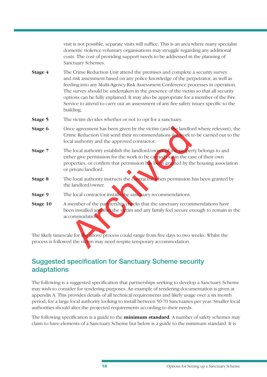visit is not possible, separate visits will suffice. This is an area where many specialist domestic violence voluntary organisations may struggle regarding any additional costs. The cost of providing support needs to be addressed in the planning of Sanctuary Schemes.

- **Stage 4** The Crime Reduction Unit attend the premises and complete a security survey and risk assessment based on any police knowledge of the perpetrator, as well as feeding into any Multi-Agency Risk Assessment Conference processes in operation. The survey should be undertaken in the presence of the victim so that all security options can be fully explained. It may also be appropriate for a member of the Fire Service to attend to carry out an assessment of any fire safety issues specific to the building.
- **Stage 5** The victim decides whether or not to opt for a sanctuary.
- **Stage 6** Once agreement has been given by the victim (and the landlord where relevant), the Crime Reduction Unit send their recommendations for work to be carried out to the local authority and the approved contractor.
- archives are agreement has been given by the victim (and the landlo<br>time Reduction Unit send their recommendations for work trad authority and the approved contractor.<br>
Le local authority establish the landlord/owner of th **Stage 7** The local authority establish the landlord/owner of the property belongs to and either give permission for the work to be carried out in the case of their own properties, or confirm that permission has been granted by the housing association or private landlord.
- **Stage 8** The local authority instructs the contractor when permission has been granted by the landlord/owner.
- **Stage 9** The local contractor installs the sanctuary recommendations.
- **Stage 10** A member of the partnership checks that the sanctuary recommendations have been installed and that the victim and any family feel secure enough to remain in the accommodation.

The likely timescale for the above process could range from five days to two weeks. Whilst the process is followed the victim may need respite temporary accommodation.

### **Suggested specification for Sanctuary Scheme security adaptations**

The following is a suggested specification that partnerships seeking to develop a Sanctuary Scheme may wish to consider for tendering purposes. An example of tendering documentation is given at appendix A. This provides details of all technical requirements and likely usage over a six month period, for a large local authority looking to install between 50-70 Sanctuaries per year. Smaller local authorities should alter the projected requirements according to their needs.

The following specification is a guide to the **minimum standard**. A number of safety schemes may claim to have elements of a Sanctuary Scheme but below is a guide to the minimum standard. It is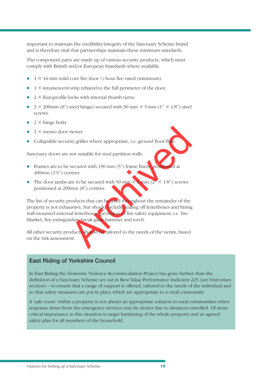important to maintain the credibility/integrity of the Sanctuary Scheme brand and is therefore vital that partnerships maintain these minimum standards.

The component parts are made up of various security products, which must comply with British and/or European Standards where available.

- $1 \times 44$  mm solid core fire door  $\frac{1}{2}$  hour fire rated (minimum).
- $1 \times$  intumescent strip rebated to the full perimeter of the door.
- $2 \times$  Europrofile locks with internal thumb turns.
- $3 \times 200$  mm (8") steel hinges secured with 30 mm  $\times$  5 mm (1"  $\times$  1/8") steel screws.
- $2 \times$  hinge bolts
- $1 \times$  memo door viewer
- Collapsible security grilles where appropriate, i.e. ground floor flats.

Sanctuary doors are not suitable for stud partition walls.

- **•** Frames are to be secured with 130 mm  $(5)$  frame fixers, positioned at 400mm (1'6") centres.
- The door jambs are to be secured with 50 mm  $\times$  5 mm (2"  $\times$  1/8") screws positioned at 200mm (8") centres.

viewer<br>
ity grilles where appropriate, i.e. ground floor flats.<br>
not suitable for stud partition walls.<br>
secured with 130 mm (5") frame fixers positioned at<br>
artics.<br>
are to be secured with 50 mm  $\times$  mm (2"  $\times$  1/8") scr The list of security products that can be used throughout the remainder of the property is not exhaustive, but should include sealing off letterboxes and fitting wall mounted external letterboxes, provision of fire safety equipment, i.e. fire blanket, fire extinguisher, break-glass hammer and torch.

All other security products should be tailored to the needs of the victim, based on the risk assessment.

### **East Riding of Yorkshire Council**

In East Riding the Domestic Violence Accommodation Project has gone further than the definition of a Sanctuary Scheme set out in Best Value Performance Indicator 225 (see Outcomes section) – to ensure that a range of support is offered, tailored to the needs of the individual and so that safety measures are put in place which are appropriate to a rural community.

A 'safe room' within a property is not always an appropriate solution in rural communities when response times from the emergency services may be slower due to distances travelled. Of more critical importance in this situation is target hardening of the whole property and an agreed safety plan for all members of the household.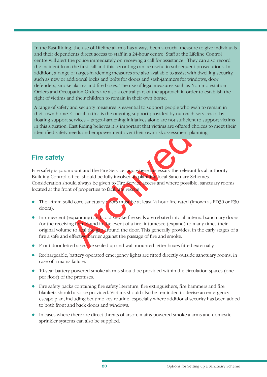In the East Riding, the use of Lifeline alarms has always been a crucial measure to give individuals and their dependents direct access to staff in a 24-hour centre. Staff at the Lifeline Control centre will alert the police immediately on receiving a call for assistance. They can also record the incident from the first call and this recording can be useful in subsequent prosecutions. In addition, a range of target-hardening measures are also available to assist with dwelling security, such as new or additional locks and bolts for doors and sash-jammers for windows, door defenders, smoke alarms and fire boxes. The use of legal measures such as Non-molestation Orders and Occupation Orders are also a central part of the approach in order to establish the right of victims and their children to remain in their own home.

A range of safety and security measures is essential to support people who wish to remain in their own home. Crucial to this is the ongoing support provided by outreach services or by floating support services – target-hardening initiatives alone are not sufficient to support victims in this situation. East Riding believes it is important that victims are offered choices to meet their identified safety needs and empowerment over their own risk assessment planning.

### **Fire safety**

East Kiding believes it is important that victims are onered a<br>needs and empowerment over their own risk assessment pl<br>needs and empowerment over their own risk assessment pl<br>office, should be fully involved it plane to cl Fire safety is paramount and the Fire Service, and where necessary the relevant local authority Building Control office, should be fully involved in planning local Sanctuary Schemes. Consideration should always be given to Fire Service access and where possible, sanctuary rooms located at the front of properties to facilitate rescue.

- The 44mm solid core sanctuary doors must be at least  $\frac{1}{2}$  hour fire rated (known as FD30 or E30 doors).
- $\bullet$  Intumescent (expanding) and cold smoke fire seals are rebated into all internal sanctuary doors (or the receiving frame) and in the event of a fire, intumesce (expand) to many times their original volume to seal the gap around the door. This generally provides, in the early stages of a fire a safe and effective barrier against the passage of fire and smoke.
- Front door letterboxes are sealed up and wall mounted letter boxes fitted externally.
- Rechargeable, battery operated emergency lights are fitted directly outside sanctuary rooms, in case of a mains failure.
- 10-year battery powered smoke alarms should be provided within the circulation spaces (one per floor) of the premises.
- Fire safety packs containing fire safety literature, fire extinguishers, fire hammers and fire blankets should also be provided. Victims should also be reminded to devise an emergency escape plan, including bedtime key routine, especially where additional security has been added to both front and back doors and windows.
- In cases where there are direct threats of arson, mains powered smoke alarms and domestic sprinkler systems can also be supplied.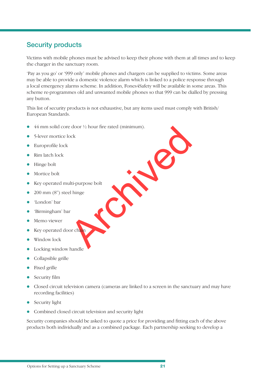## **Security products**

Victims with mobile phones must be advised to keep their phone with them at all times and to keep the charger in the sanctuary room.

'Pay as you go' or '999 only' mobile phones and chargers can be supplied to victims. Some areas may be able to provide a domestic violence alarm which is linked to a police response through a local emergency alarms scheme. In addition, Fones4Safety will be available in some areas. This scheme re-programmes old and unwanted mobile phones so that 999 can be dialled by pressing any button.

This list of security products is not exhaustive, but any items used must comply with British/ European Standards.

- e door 1/2 hour fire rated (minimum). • 44 mm solid core door  $\frac{1}{2}$  hour fire rated (minimum).
- 5-lever mortice lock
- $\bullet$  Europrofile lock
- Rim latch lock
- $\bullet$  Hinge bolt
- $\bullet$  Mortice bolt
- $\bullet$  Key operated multi-purpose bolt
- $\bullet$  200 mm (8") steel hinge
- 'London' bar
- **·** 'Birmingham' bar
- Memo viewer
- **Key operated door chain**
- Window lock
- Locking window handle
- Collapsible grille
- Fixed grille
- $\bullet$  Security film
- Closed circuit television camera (cameras are linked to a screen in the sanctuary and may have recording facilities)
- $\bullet$  Security light
- Combined closed circuit television and security light

Security companies should be asked to quote a price for providing and fitting each of the above products both individually and as a combined package. Each partnership seeking to develop a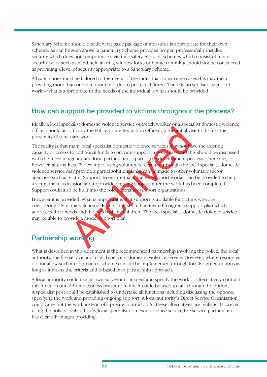Sanctuary Scheme should decide what basic package of measures is appropriate for their own scheme. As can be seen above, a Sanctuary Scheme provides proper, professionally installed, security which does not compromise a victim's safety. As such, schemes which consist of minor security work such as hand held alarms, window locks or hedge trimming should not be considered as providing a level of security appropriate to a Sanctuary Scheme.

All sanctuaries must be tailored to the needs of the individual. In extreme cases this may mean providing more than one safe room in order to protect children. There is no set list of standard work – what is appropriate to the needs of the individual is what should be provided.

### **How can support be provided to victims throughout the process?**

Ideally a local specialist domestic violence service outreach worker or a specialist domestic violence officer should accompany the Police Crime Reduction Officer on the initial visit to discuss the possibility of sanctuary work.

ompany the Police Crime Reduction Officer on the Initial vistuary work.<br>
many local specialist domestic violence services hay not to<br>
to additional funds to provide support in creating<br>
the detection and local partnership The reality is that many local specialist domestic violence services may not have the existing capacity or access to additional funds to provide support in every case and this should be discussed with the relevant agency and local partnership as part of the development process. There are, however, alternatives. For example, using volunteers recruited through the local specialist domestic violence service may provide a partial solution. Links can be made to other voluntary sector agencies, such as Victim Support, to ensure that a trained support worker can be provided to help a victim make a decision and to provide ongoing support after the work has been completed. Support could also be built into the role of tenancy support organisations.

However it is provided, what is important is that support is available for victims who are considering a Sanctuary Scheme. Each victim should be invited to agree a support plan which addresses their needs and the needs of any children. The local specialist domestic violence service may be able to provide a model support plan.

## **Partnership working**

What is described in this document is the recommended partnership involving the police, the local authority, the fire service and a local specialist domestic violence service. However, where resources do not allow such an approach a scheme can still be implemented through locally agreed options as long as it meets the criteria and is based on a partnership approach.

A local authority could use its own surveyor to inspect and specify the work or alternatively contract this function out. A homelessness prevention officer could be used to talk through the options. A specialist post could be established to undertake all functions including discussing the options, specifying the work and providing ongoing support. A local authority's Direct Service Organisation could carry out the work instead of a private contractor. All these alternatives are realistic. However, using the police/local authority/local specialist domestic violence service/fire service partnership has clear advantages providing: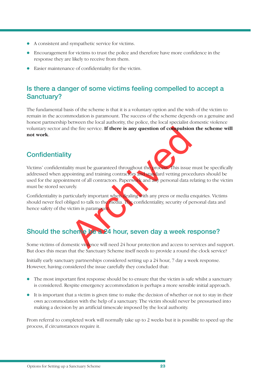- l A consistent and sympathetic service for victims.
- Encouragement for victims to trust the police and therefore have more confidence in the response they are likely to receive from them.
- $\bullet$  Easier maintenance of confidentiality for the victim.

## **Is there a danger of some victims feeling compelled to accept a Sanctuary?**

The fundamental basis of the scheme is that it is a voluntary option and the wish of the victim to remain in the accommodation is paramount. The success of the scheme depends on a genuine and honest partnership between the local authority, the police, the local specialist domestic violence voluntary sector and the fire service. **If there is any question of compulsion the scheme will not work**.

### **Confidentiality**

It the fire service. If there is any question of compulsion<br>
Y<br>
Y<br>
Witty must be guaranteed throughout the process. This issue<br>
nointing and training contractors and standary personal data reely.<br>
The service of all contra Victims' confidentiality must be guaranteed throughout the process. This issue must be specifically addressed when appointing and training contractors and standard vetting procedures should be used for the appointment of all contractors. Paperwork and any personal data relating to the victim must be stored securely.

Confidentiality is particularly important when dealing with any press or media enquiries. Victims should never feel obliged to talk to the media. The confidentiality, security of personal data and hence safety of the victim is paramount

## **Should the scheme be a 24 hour, seven day a week response?**

Some victims of domestic violence will need 24 hour protection and access to services and support. But does this mean that the Sanctuary Scheme itself needs to provide a round the clock service?

Initially early sanctuary partnerships considered setting up a 24 hour, 7 day a week response. However, having considered the issue carefully they concluded that:

- The most important first response should be to ensure that the victim is safe whilst a sanctuary is considered. Respite emergency accommodation is perhaps a more sensible initial approach.
- It is important that a victim is given time to make the decision of whether or not to stay in their own accommodation with the help of a sanctuary. The victim should never be pressurised into making a decision by an artificial timescale imposed by the local authority.

From referral to completed work will normally take up to 2 weeks but it is possible to speed up the process, if circumstances require it.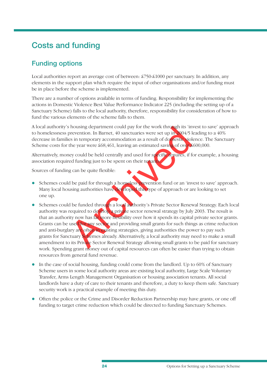## **Costs and funding**

## **Funding options**

Local authorities report an average cost of between: £750-£1000 per sanctuary. In addition, any elements in the support plan which require the input of other organisations and/or funding must be in place before the scheme is implemented.

There are a number of options available in terms of funding. Responsibility for implementing the actions in Domestic Violence Best Value Performance Indicator 225 (including the setting up of a Sanctuary Scheme) falls to the local authority, therefore, responsibility for consideration of how to fund the various elements of the scheme falls to them.

A local authority's housing department could pay for the work through its 'invest to save' approach to homelessness prevention. In Barnet, 40 sanctuaries were set up in 2004/5 leading to a 40% decrease in families in temporary accommodation as a result of domestic violence. The Sanctuary Scheme costs for the year were £68,461, leaving an estimated saving of over £600,000.

Alternatively, money could be held centrally and used for specific repures, if for example, a housing association required funding just to be spent on their tenants.

Sources of funding can be quite flexible:

- **.** Schemes could be paid for through a homeless prevention fund or an 'invest to save' approach. Many local housing authorities have developed this type of approach or are looking to set one up.
- The method of contract the same and the same and the paper of the same and the paper of the same and the same and the same and the same and the same and the same and the paper of the same and the paper of the same and the **.** Schemes could be funded through a local authority's Private Sector Renewal Strategy. Each local authority was required to develop a private sector renewal strategy by July 2003. The result is that an authority now has far more flexibility over how it spends its capital private sector grants. Grants can be used for any sector and providing small grants for such things as crime reduction and anti-burglary are often in existing strategies, giving authorities the power to pay such grants for Sanctuary Schemes already. Alternatively, a local authority may need to make a small amendment to its Private Sector Renewal Strategy allowing small grants to be paid for sanctuary work. Spending grant money out of capital resources can often be easier than trying to obtain resources from general fund revenue.
- In the case of social housing, funding could come from the landlord. Up to 60% of Sanctuary Scheme users in some local authority areas are existing local authority, Large Scale Voluntary Transfer, Arms Length Management Organisation or housing association tenants. All social landlords have a duty of care to their tenants and therefore, a duty to keep them safe. Sanctuary security work is a practical example of meeting this duty.
- Often the police or the Crime and Disorder Reduction Partnership may have grants, or one off funding to target crime reduction which could be directed to funding Sanctuary Schemes.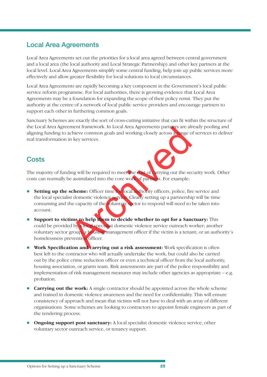## **Local Area Agreements**

Local Area Agreements set out the priorities for a local area agreed between central government and a local area (the local authority and Local Strategic Partnership) and other key partners at the local level. Local Area Agreements simplify some central funding, help join up public services more effectively and allow greater flexibility for local solutions to local circumstances.

Local Area Agreements are rapidly becoming a key component in the Government's local public service reform programme. For local authorities, there is growing evidence that Local Area Agreements may be a foundation for expanding the scope of their policy remit. They put the authority at the centre of a network of local public service providers and encourage partners to support each other in furthering common goals.

Sanctuary Schemes are exactly the sort of cross-cutting initiative that can fit within the structure of the Local Area Agreement framework. In Local Area Agreements partners are already pooling and aligning funding to achieve common goals and working closely across a range of services to deliver real transformation in key services.

### **Costs**

The majority of funding will be required to meet the cost of carrying out the security work. Other costs can normally be assimilated into the core work of partners. For example:

- ment framework. In Local Area Agreements partners are alrechieve common goals and working closely across at ange of the control of the second in key services.<br>
Hing will be required to meet the cost of arrying out the seco **Setting up the scheme:** Officer time for local authority officers, police, fire service and the local specialist domestic violence service. Clearly setting up a partnership will be time consuming and the capacity of the voluntary sector to respond will need to be taken into account.
- **•** Support to victims to help them to decide whether to opt for a Sanctuary: This could be provided by a local specialist domestic violence service outreach worker; another voluntary sector group; a housing management officer if the victim is a tenant; or an authority's homelessness prevention officer.
- **Work Specification and carrying out a risk assessment:** Work specification is often best left to the contractor who will actually undertake the work, but could also be carried out by the police crime reduction officer or even a technical officer from the local authority, housing association, or grants team. Risk assessments are part of the police responsibility and implementation of risk management measures may include other agencies as appropriate – e.g. probation.
- **Carrying out the work:** A single contractor should be appointed across the whole scheme and trained in domestic violence awareness and the need for confidentiality. This will ensure consistency of approach and mean that victims will not have to deal with an array of different organisations. Some schemes are looking to contractors to appoint female engineers as part of the tendering process.
- **Ongoing support post sanctuary:** A local specialist domestic violence service, other voluntary sector outreach service, or tenancy support.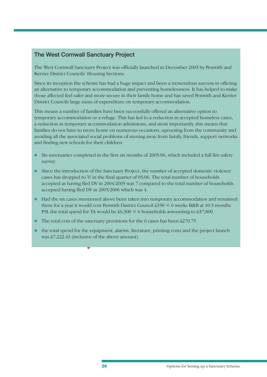### **The West Cornwall Sanctuary Project**

The West Cornwall Sanctuary Project was officially launched in December 2005 by Penwith and Kerrier District Councils' Housing Sections.

Since its inception the scheme has had a huge impact and been a tremendous success in offering an alternative to temporary accommodation and preventing homelessness. It has helped to make those affected feel safer and more secure in their family home and has saved Penwith and Kerrier District Councils large sums of expenditure on temporary accommodation.

This means a number of families have been successfully offered an alternative option to temporary accommodation or a refuge. This has led to a reduction in accepted homeless cases, a reduction in temporary accommodation admissions, and most importantly, this means that families do not have to move home on numerous occasions, uprooting from the community and avoiding all the associated social problems of moving away from family, friends, support networks and finding new schools for their children.

- $\bullet$  Six sanctuaries completed in the first six months of 2005/06, which included a full fire safety survey.
- have to move home on numerous occasions, uprooting from<br>ssociated social problems of moving away from family, frien<br>schools for their children.<br>es completed in the first six months of 2005/06, which inclue<br>oduction of the • Since the introduction of the Sanctuary Project, the number of accepted domestic violence cases has dropped to  $'0'$  in the final quarter of 05/06. The total number of households accepted as having fled DV in 2004/2005 was 7 compared to the total number of households accepted having fled DV in 2005/2006 which was 4.
- l Had the six cases mentioned above been taken into temporary accommodation and remained there for a year it would cost Penwith District Council  $\frac{250}{8} \times 6$  weeks B&B at 10.5 months PSL the total spend for TA would be  $\text{\$6,300} \times 6$  households amounting to  $\text{\$37,800}$ .
- $\bullet$  The total cost of the sanctuary provisions for the 6 cases has been £270.75
- $\bullet$  the total spend for the equipment, alarms, literature, printing costs and the project launch was £7,222.43 (inclusive of the above amount)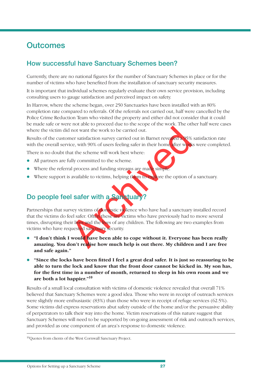## **Outcomes**

## **How successful have Sanctuary Schemes been?**

Currently, there are no national figures for the number of Sanctuary Schemes in place or for the number of victims who have benefited from the installation of sanctuary security measures.

It is important that individual schemes regularly evaluate their own service provision, including consulting users to gauge satisfaction and perceived impact on safety.

In Harrow, where the scheme began, over 250 Sanctuaries have been installed with an 80% completion rate compared to referrals. Of the referrals not carried out, half were cancelled by the Police Crime Reduction Team who visited the property and either did not consider that it could be made safe or were not able to proceed due to the scope of the work. The other half were cases where the victim did not want the work to be carried out.

Results of the customer satisfaction survey carried out in Barnet revealed a 95% satisfaction rate with the overall service, with 90% of users feeling safer in their home after works were completed.

There is no doubt that the scheme will work best where:

- All partners are fully committed to the scheme.
- Where the referral process and funding streams are made simple.
- $\bullet$  Where support is available to victims, helping them to explore the option of a sanctuary.

## **Do people feel safer with a Sanctuary?**

Archived Text Islands the New Marketter Section 195%<br>
The statistic state of the scheme will work best where:<br>
Archived the scheme will work best where:<br>
Archived to the scheme.<br>
Archived to the scheme.<br>
Archived Save Unit Partnerships that survey victims of domestic violence who have had a sanctuary installed record that the victims do feel safer. Often these are victims who have previously had to move several times, disrupting their lives and the lives of any children. The following are two examples from victims who have requested sanctuary security.

- **•** "I don't think I would have been able to cope without it. Everyone has been really **amazing. You don't realise how much help is out there. My children and I are free and safe again."**
- **•** "Since the locks have been fitted I feel a great deal safer. It is just so reassuring to be **able to turn the lock and know that the front door cannot be kicked in. My son has,**  for the first time in a number of month, returned to sleep in his own room and we **are both a lot happier."<sup>10</sup>**

Results of a small local consultation with victims of domestic violence revealed that overall 71% believed that Sanctuary Schemes were a good idea. Those who were in receipt of outreach services were slightly more enthusiastic (83%) than those who were in receipt of refuge services (62.5%). Some victims did express reservations abut safety outside of the home and/or the persuasive ability of perpetrators to talk their way into the home. Victim reservations of this nature suggest that Sanctuary Schemes will need to be supported by on-going assessment of risk and outreach services, and provided as one component of an area's response to domestic violence.

<sup>10</sup> Quotes from clients of the West Cornwall Sanctuary Project.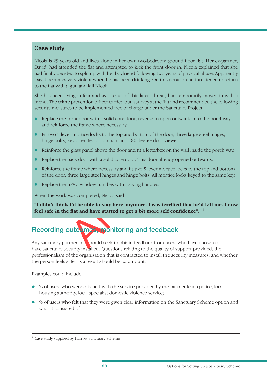### **Case study**

Nicola is 29 years old and lives alone in her own two-bedroom ground floor flat. Her ex-partner, David, had attended the flat and attempted to kick the front door in. Nicola explained that she had finally decided to split up with her boyfriend following two years of physical abuse. Apparently David becomes very violent when he has been drinking. On this occasion he threatened to return to the flat with a gun and kill Nicola.

She has been living in fear and as a result of this latest threat, had temporarily moved in with a friend. The crime prevention officer carried out a survey at the flat and recommended the following security measures to be implemented free of charge under the Sanctuary Project:

- Replace the front door with a solid core door, reverse to open outwards into the porchway and reinforce the frame where necessary.
- l Fit two 5 lever mortice locks to the top and bottom of the door, three large steel hinges, hinge bolts, key operated door chain and 180-degree door viewer.
- Reinforce the glass panel above the door and fit a letterbox on the wall inside the porch way.
- l Replace the back door with a solid core door. This door already opened outwards.
- Reinforce the frame where necessary and fit two 5 lever mortice locks to the top and bottom of the door, three large steel hinges and hinge bolts. All mortice locks keyed to the same key.
- Replace the uPVC window handles with locking handles.

When the work was completed, Nicola said

The same where heteosary.<br>
The mortice locks to the top and bottom of the door, three lare<br>
ey operated door chain and 180-degree door viewer.<br>
Eylass panel above the door and fit a letterbox on the wall in<br>
frame where ne "I didn't think I'd be able to stay here anymore. I was terrified that he'd kill me. I now feel safe in the flat and have started to get a bit more self confidence".<sup>11</sup>

## **Recording outcomes, monitoring and feedback**

Any sanctuary partnership should seek to obtain feedback from users who have chosen to have sanctuary security installed. Questions relating to the quality of support provided, the professionalism of the organisation that is contracted to install the security measures, and whether the person feels safer as a result should be paramount.

Examples could include:

- $\bullet$  % of users who were satisfied with the service provided by the partner lead (police, local housing authority, local specialist domestic violence service).
- l % of users who felt that they were given clear information on the Sanctuary Scheme option and what it consisted of.

<sup>&</sup>lt;sup>11</sup> Case study supplied by Harrow Sanctuary Scheme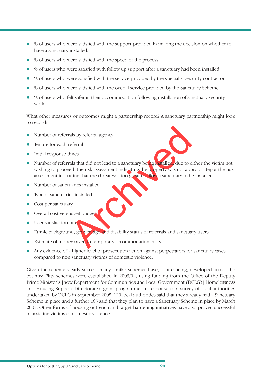- $\bullet$  % of users who were satisfied with the support provided in making the decision on whether to have a sanctuary installed.
- % of users who were satisfied with the speed of the process.
- $\bullet$  % of users who were satisfied with follow up support after a sanctuary had been installed.
- % of users who were satisfied with the service provided by the specialist security contractor.
- % of users who were satisfied with the overall service provided by the Sanctuary Scheme.
- l % of users who felt safer in their accommodation following installation of sanctuary security work.

What other measures or outcomes might a partnership record? A sanctuary partnership might look to record:

- $\bullet$  Number of referrals by referral agency
- Tenure for each referral
- **•** Initial response times
- The same of the same of the same of the same of the same of the same of the same of the risk assessment indicating the property was not approximating that the threat was too great to show a sanctuary to be unries installed • Number of referrals that did not lead to a sanctuary being installed, due to either the victim not wishing to proceed; the risk assessment indicating the property was not appropriate; or the risk assessment indicating that the threat was too great to allow a sanctuary to be installed
- Number of sanctuaries installed
- Type of sanctuaries installed
- Cost per sanctuary
- **.** Overall cost versus set budget
- **·** User satisfaction rates
- **Ethnic background, gender, age and disability status of referrals and sanctuary users**
- **Estimate of money saved in temporary accommodation costs**
- Any evidence of a higher level of prosecution action against perpetrators for sanctuary cases compared to non sanctuary victims of domestic violence.

Given the scheme's early success many similar schemes have, or are being, developed across the country. Fifty schemes were established in 2003/04, using funding from the Office of the Deputy Prime Minister's [now Department for Communities and Local Government (DCLG)] Homelessness and Housing Support Directorate's grant programme. In response to a survey of local authorities undertaken by DCLG in September 2005, 120 local authorities said that they already had a Sanctuary Scheme in place and a further 165 said that they plan to have a Sanctuary Scheme in place by March 2007. Other forms of housing outreach and target hardening initiatives have also proved successful in assisting victims of domestic violence.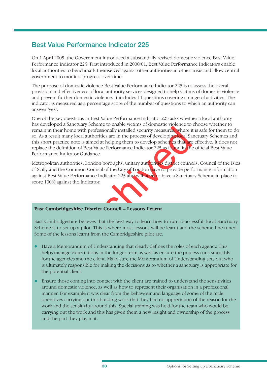### **Best Value Performance Indicator 225**

On 1 April 2005, the Government introduced a substantially revised domestic violence Best Value Performance Indicator 225. First introduced in 2000/01, Best Value Performance Indicators enable local authorities to benchmark themselves against other authorities in other areas and allow central government to monitor progress over time.

The purpose of domestic violence Best Value Performance Indicator 225 is to assess the overall provision and effectiveness of local authority services designed to help victims of domestic violence and prevent further domestic violence. It includes 11 questions covering a range of activities. The indicator is measured as a percentage score of the number of questions to which an authority can answer 'yes'.

The with professionally installed security measures, where it and account the process of developing local Sa note is aimed at helping them to develop schemes that are note is aimed at helping them to develop schemes that a One of the key questions in Best Value Performance Indicator 225 asks whether a local authority has developed a Sanctuary Scheme to enable victims of domestic violence to choose whether to remain in their home with professionally installed security measures, where it is safe for them to do so. As a result many local authorities are in the process of developing local Sanctuary Schemes and this short practice note is aimed at helping them to develop schemes that are effective. It does not replace the definition of Best Value Performance Indicator 225 as found in the official Best Value Performance Indicator Guidance.

Metropolitan authorities, London boroughs, unitary authorities district councils, Council of the Isles of Scilly and the Common Council of the City of London have to provide performance information against Best Value Performance Indicator 225 and will need to have a Sanctuary Scheme in place to score 100% against the Indicator.



#### **East Cambridgeshire District Council – Lessons Learnt**

East Cambridgeshire believes that the best way to learn how to run a successful, local Sanctuary Scheme is to set up a pilot. This is where most lessons will be learnt and the scheme fine-tuned. Some of the lessons learnt from the Cambridgeshire pilot are:

- Have a Memorandum of Understanding that clearly defines the roles of each agency. This helps manage expectations in the longer term as well as ensure the process runs smoothly for the agencies and the client. Make sure the Memorandum of Understanding sets out who is ultimately responsible for making the decisions as to whether a sanctuary is appropriate for the potential client.
- l Ensure those coming into contact with the client are trained to understand the sensitivities around domestic violence, as well as how to represent their organisation in a professional manner. For example it was clear from the behaviour and language of some of the male operatives carrying out this building work that they had no appreciation of the reason for the work and the sensitivity around this. Special training was held for the team who would be carrying out the work and this has given them a new insight and ownership of the process and the part they play in it.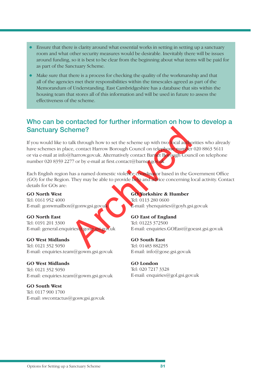- $\bullet$  Ensure that there is clarity around what essential works in setting in setting up a sanctuary room and what other security measures would be desirable. Inevitably there will be issues around funding, so it is best to be clear from the beginning about what items will be paid for as part of the Sanctuary Scheme.
- $\bullet$  Make sure that there is a process for checking the quality of the workmanship and that all of the agencies met their responsibilities within the timescales agreed as part of the Memorandum of Understanding. East Cambridgeshire has a database that sits within the housing team that stores all of this information and will be used in future to assess the effectiveness of the scheme.

### **Who can be contacted for further information on how to develop a Sanctuary Scheme?**

Archives<br>
Stalk through how to set the scheme up with two local authorized and the scheme up with two local authorized<br>
Aharrow.gov.uk. Alternatively contact Barnet Borough Count<br>
Ans a named domestic violence condinuous b If you would like to talk through how to set the scheme up with two local authorities who already have schemes in place, contact Harrow Borough Council on telephone number 020 8863 5611 or via e-mail at info@harrow.gov.uk. Alternatively contact Barnet Borough Council on telephone number 020 8359 2277 or by e-mail at first.contact@barnet.gov.uk

Each English region has a named domestic violence coordinator based in the Government Office (GO) for the Region. They may be able to provide help and advice concerning local activity. Contact details for GOs are:

**GO North West** Tel: 0161 952 4000 E-mail: gonwmailbox@gonw.gsi.gov.uk

**GO North East**  Tel: 0191 201 3300  $E$ -mail: general.enquiries@gone.gsi.gov.uk

**GO West Midlands** Tel: 0121 352 5050 E-mail: enquiries.team@gowm.gsi.gov.uk

**GO West Midlands** Tel: 0121 352 5050 E-mail: enquiries.team@gowm.gsi.gov.uk

**GO South West** Tel: 0117 900 1700 E-mail: swcontactus@gosw.gsi.gov.uk **GO Yorkshire & Humber**

Tel: 0113 280 0600  $E$ -mail: yhenquiries@goyh.gsi.gov.uk

**GO East of England** Tel: 01223 372500 E-mail: enquiries.GOEast@goeast.gsi.gov.uk

**GO South East** Tel: 01483 882255 E-mail: info@gose.gsi.gov.uk

**GO London** Tel: 020 7217 3328 E-mail: enquiries@gol.gsi.gov.uk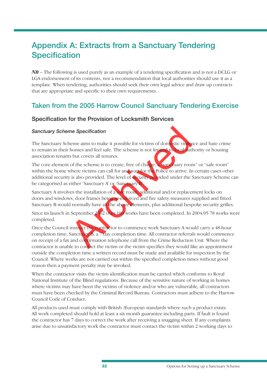## **Appendix A: Extracts from a Sanctuary Tendering Specification**

*NB* – The following is used purely as an example of a tendering specification and is not a DCLG or LGA endorsement of its contents, nor a recommendation that local authorities should use it as a template. When tendering, authorities should seek their own legal advice and draw up contracts that are appropriate and specific to their own requirements.

### **Taken from the 2005 Harrow Council Sanctuary Tendering Exercise**

### **Specification for the Provision of Locksmith Services**

#### **Sanctuary Scheme Specification**

The Sanctuary Scheme aims to make it possible for victims of domestic violence and hate crime to remain in their homes and feel safe. The scheme is not limited to local authority or housing association tenants but covers all tenures.

The core element of the scheme is to create, free of charge, a "sanctuary room" or "safe room" within the home where victims can call for and wait for the Police to arrive. In certain cases other additional security is also provided. The level of security provided under the Sanctuary Scheme can be categorised as either 'Sanctuary A' or 'Sanctuary B'.

Sanctuary A involves the installation of a safe room, additional and/or replacement locks on doors and windows, door frames being re-enforced and fire safety measures supplied and fitted. Sanctuary B would normally have all the above elements, plus additional bespoke security grilles.

Since its launch in September 2002 over 180 works have been completed. In 2004/05 78 works were completed.

The Specification<br>
The Specification<br>
The shape is not limited to be all some small tends of the scheme is not limited to be<br>
all solutions and feel safe. The scheme is not limited to be all solutions<br>
of the scheme is to Once the Council instruct the contractor to commence work Sanctuary A would carry a 48-hour completion time, Sanctuary  $\overline{B}$ , a 7 day completion time. All contractor referrals would commence on receipt of a fax and confirmation telephone call from the Crime Reduction Unit. Where the contractor is unable to contact the victim or the victim specifies they would like an appointment outside the completion time a written record must be made and available for inspection by the Council. Where works are not carried out within the specified completion times without good reason then a payment penalty may be invoked.

When the contractor visits the victim identification must be carried which conforms to Royal National Institute of the Blind regulations. Because of the sensitive nature of working in homes where victims may have been the victims of violence and/or who are vulnerable, all contractors must have been checked by the Criminal Record Bureau. Contractors must adhere to the Harrow Council Code of Conduct.

All products used must comply with British /European standards where such a product exists. All work completed should hold at least a six month guarantee including parts. If fault is found the contractor has 7 days to correct the work after receiving a snagging sheet. If any complaints arise due to unsatisfactory work the contractor must contact the victim within 2 working days to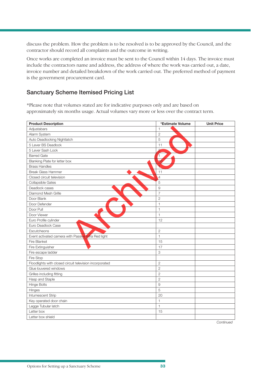discuss the problem. How the problem is to be resolved is to be approved by the Council, and the contractor should record all complaints and the outcome in writing.

Once works are completed an invoice must be sent to the Council within 14 days. The invoice must include the contractors name and address, the address of where the work was carried out, a date, invoice number and detailed breakdown of the work carried out. The preferred method of payment is the government procurement card.

### **Sanctuary Scheme Itemised Pricing List**

\*Please note that volumes stated are for indicative purposes only and are based on approximately six months usage. Actual volumes vary more or less over the contract term.

| <b>Product Description</b>                              | *Estimate Volume | <b>Unit Price</b> |
|---------------------------------------------------------|------------------|-------------------|
| Adjustabars                                             | 1                |                   |
| Alarm System                                            | $\overline{c}$   |                   |
| Auto Deadlocking Nightlatch                             | 5                |                   |
| 5 Lever BS Deadlock                                     | 11               |                   |
| 5 Lever Sash Lock                                       | $\overline{a}$   |                   |
| <b>Barred Gate</b>                                      | 4                |                   |
| Blanking Plate for letter box                           |                  |                   |
| <b>Brass Handles</b>                                    |                  |                   |
| <b>Break Glass Hammer</b>                               | 11               |                   |
| Closed circuit television                               | $\overline{A}$   |                   |
| Collapsible Gates                                       | 5                |                   |
| Deadlock cases                                          | 9                |                   |
| Diamond Mesh Grille                                     | $\overline{7}$   |                   |
| Door Blank                                              | $\overline{2}$   |                   |
| Door Defender                                           | $\mathbf{1}$     |                   |
| Door Pull                                               | $\mathbf{1}$     |                   |
| Door Viewer                                             | $\mathbf{1}$     |                   |
| Euro Profile cylinder                                   | 12               |                   |
| Euro Deadlock Case                                      |                  |                   |
| Escutcheons                                             | $\overline{c}$   |                   |
| Event activated camera with Passive Infra Red light     | $\mathbf{1}$     |                   |
| Fire Blanket                                            | 15               |                   |
| Fire Extinguisher                                       | 17               |                   |
| Fire escape ladder                                      | 3                |                   |
| Fire Stop                                               |                  |                   |
| Floodlights with closed circuit television incorporated | $\overline{2}$   |                   |
| Glue louvered windows                                   | $\mathbf{2}$     |                   |
| Grilles including fitting                               | $\overline{2}$   |                   |
| Hasp and Staple                                         | $\overline{2}$   |                   |
| <b>Hinge Bolts</b>                                      | $\overline{9}$   |                   |
| Hinges                                                  | 5                |                   |
| Intumescent Strip                                       | 20               |                   |
| Key operated door chain                                 | $\mathbf{1}$     |                   |
| Legge Tubular latch                                     | $\mathbf{1}$     |                   |
| Letter box                                              | 15               |                   |
| Letter box shield                                       |                  |                   |

*Continued*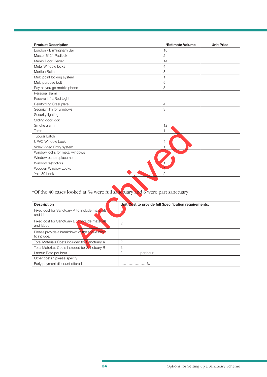| <b>Product Description</b>                                                  |           | *Estimate Volume                                      | <b>Unit Price</b> |
|-----------------------------------------------------------------------------|-----------|-------------------------------------------------------|-------------------|
| London / Birmingham Bar                                                     |           | 18                                                    |                   |
| Master 6121 Padlock                                                         |           | $\overline{2}$                                        |                   |
| Memo Door Viewer                                                            |           | 14                                                    |                   |
| Metal Window locks                                                          |           | $\overline{4}$                                        |                   |
| Mortice Bolts                                                               |           | 3                                                     |                   |
| Multi point locking system                                                  |           | $\mathbf{1}$                                          |                   |
| Multi purpose bolt                                                          |           | 5                                                     |                   |
| Pay as you go mobile phone                                                  |           | 3                                                     |                   |
| Personal alarm                                                              |           |                                                       |                   |
| Passive Infra Red Light                                                     |           |                                                       |                   |
| Reinforcing Steel plate                                                     |           | $\overline{4}$                                        |                   |
| Security film for windows                                                   |           | 3                                                     |                   |
| Security lighting                                                           |           |                                                       |                   |
| Sliding door lock                                                           |           |                                                       |                   |
| Smoke alarm                                                                 |           | 12                                                    |                   |
| Torch                                                                       |           | $\mathbf{1}$                                          |                   |
| <b>Tubular Latch</b>                                                        |           |                                                       |                   |
| <b>UPVC Window Lock</b>                                                     |           | 4                                                     |                   |
| Videx Video Entry system                                                    |           | $\overline{1}$                                        |                   |
| Window locks for metal windows                                              |           |                                                       |                   |
| Window pane replacement                                                     |           |                                                       |                   |
| Window restrictors                                                          |           | $\overline{1}$                                        |                   |
| Wooden Window Locks                                                         |           |                                                       |                   |
| Yale 89 Lock                                                                |           | $\overline{2}$                                        |                   |
| *Of the 40 cases looked at 34 were full sanctuary and 6 were part sanctuary |           |                                                       |                   |
| <b>Description</b>                                                          |           | Unit Cost to provide full Specification requirements; |                   |
| Fixed cost for Sanctuary A to include materials<br>and labour               | $\circ$   |                                                       |                   |
| Fixed cost for Sanctuary B to include materials<br>and labour               | £         |                                                       |                   |
| Please provide a breakdown of the above costs<br>to include;                |           |                                                       |                   |
| Total Materials Costs included for Sanctuary A                              | £         |                                                       |                   |
| Total Materials Costs included for Sanctuary B                              | $\varphi$ |                                                       |                   |

## \*Of the 40 cases looked at 34 were full sanctuary and 6 were part sanctuary

| <b>Description</b>                                            | Unit Cost to provide full Specification requirements; |
|---------------------------------------------------------------|-------------------------------------------------------|
| Fixed cost for Sanctuary A to include materials<br>and labour | $\Omega$                                              |
| Fixed cost for Sanctuary B to include materials<br>and labour | £                                                     |
| Please provide a breakdown of the above costs<br>to include;  |                                                       |
| Total Materials Costs included for Sanctuary A                | £                                                     |
| Total Materials Costs included for Sanctuary B                | £                                                     |
| Labour Rate per hour                                          | £<br>per hour                                         |
| Other costs * please specify                                  |                                                       |
| Early payment discount offered                                | $\%$<br>.                                             |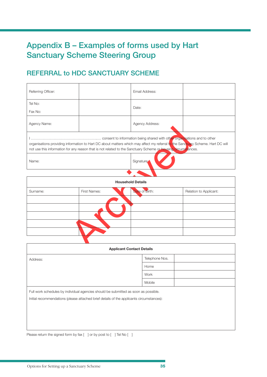## **Appendix B – Examples of forms used by Hart Sanctuary Scheme Steering Group**

## **REFERRAL to HDC SANCTUARY SCHEME**

| Referring Officer:                                                                                                                                                                                                                               |  | Email Address:         |  |
|--------------------------------------------------------------------------------------------------------------------------------------------------------------------------------------------------------------------------------------------------|--|------------------------|--|
| Tel No:                                                                                                                                                                                                                                          |  | Date:                  |  |
| Fax No:                                                                                                                                                                                                                                          |  |                        |  |
| Agency Name:                                                                                                                                                                                                                                     |  | <b>Agency Address:</b> |  |
| organisations providing information to Hart DC about matters which may affect my referral to the Sanctuary Scheme. Hart DC will<br>not use this information for any reason that is not related to the Sanctuary Scheme or housing circumstances. |  |                        |  |
| Name:                                                                                                                                                                                                                                            |  | Signature:             |  |

|          |              |                                                                                                               | organisations providing information to Hart DC about matters which may affect my referral to the Sanctuary Scheme. Hart DC will |
|----------|--------------|---------------------------------------------------------------------------------------------------------------|---------------------------------------------------------------------------------------------------------------------------------|
|          |              | not use this information for any reason that is not related to the Sanctuary Scheme or housing direumstances. |                                                                                                                                 |
| Name:    |              | Signature:                                                                                                    |                                                                                                                                 |
|          |              |                                                                                                               |                                                                                                                                 |
|          |              | <b>Household Details</b>                                                                                      |                                                                                                                                 |
| Surname: | First Names: | Date of Birth:                                                                                                | Relation to Applicant:                                                                                                          |
|          |              |                                                                                                               |                                                                                                                                 |
|          |              |                                                                                                               |                                                                                                                                 |
|          |              |                                                                                                               |                                                                                                                                 |
|          |              |                                                                                                               |                                                                                                                                 |
|          |              | Annlicant Contact Detaile                                                                                     |                                                                                                                                 |

| <b>Applicant Contact Details</b>                                                                                                                                                |                |  |
|---------------------------------------------------------------------------------------------------------------------------------------------------------------------------------|----------------|--|
| Address:                                                                                                                                                                        | Telephone Nos. |  |
|                                                                                                                                                                                 | Home           |  |
|                                                                                                                                                                                 | Work           |  |
|                                                                                                                                                                                 | Mobile         |  |
| Full work schedules by individual agencies should be submitted as soon as possible.<br>Initial recommendations (please attached brief details of the applicants circumstances): |                |  |

Please return the signed form by fax [ ] or by post to [ ] Tel No [ ]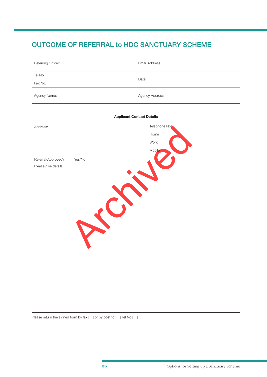## **OUTCOME OF REFERRAL to HDC SANCTUARY SCHEME**

| Referring Officer: | Email Address:  |  |
|--------------------|-----------------|--|
| Tel No:<br>Fax No: | Date:           |  |
| Agency Name:       | Agency Address: |  |

|                              | <b>Applicant Contact Details</b> |
|------------------------------|----------------------------------|
| Address:                     | Telephone Nos.                   |
|                              | Home                             |
|                              | Work                             |
|                              | Mobile                           |
| Referral/Approved?<br>Yes/No |                                  |
| Please give details.         |                                  |
|                              |                                  |
|                              |                                  |
|                              |                                  |
|                              | E                                |
|                              |                                  |
|                              |                                  |
|                              |                                  |
|                              |                                  |
|                              |                                  |
|                              |                                  |
|                              |                                  |
|                              |                                  |
|                              |                                  |
|                              |                                  |
|                              |                                  |
|                              |                                  |
|                              |                                  |
|                              |                                  |

Please return the signed form by fax [ ] or by post to [ ] Tel No [ ]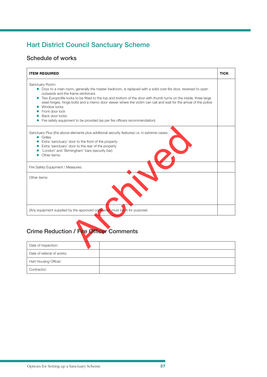## **Hart District Council Sanctuary Scheme**

### **Schedule of works**

| <b>ITEM REQUIRED</b>                                                                                                                                                                                                                                                                                                                                                                                                                                                                                                                                   | <b>TICK</b> |
|--------------------------------------------------------------------------------------------------------------------------------------------------------------------------------------------------------------------------------------------------------------------------------------------------------------------------------------------------------------------------------------------------------------------------------------------------------------------------------------------------------------------------------------------------------|-------------|
| Sanctuary Room:<br>• Door to a main room, generally the master bedroom, is replaced with a solid core fire door, reversed to open<br>outwards and the frame reinforced.<br>• Two Europrofile locks to be fitted to the top and bottom of the door with thumb turns on the inside, three large<br>steel hinges, hinge bolts and a memo door viewer where the victim can call and wait for the arrival of the police<br>Window locks<br>Front door lock<br>Back door locks<br>Fire safety equipment to be provided (as per fire officers recommendation) |             |
| Sanctuary Plus (the above elements plus additional security features) i.e. in extreme cases:<br>• Grilles<br>Extra 'sanctuary' door to the front of the property<br>Extra 'sanctuary' door to the rear of the property<br>'London' and 'Birmingham' bars (security bar)<br>Other items:                                                                                                                                                                                                                                                                |             |
| Fire Safety Equipment / Measures:                                                                                                                                                                                                                                                                                                                                                                                                                                                                                                                      |             |
| Other items:                                                                                                                                                                                                                                                                                                                                                                                                                                                                                                                                           |             |
| (Any equipment supplied by the approved contractor must be fit for purpose)                                                                                                                                                                                                                                                                                                                                                                                                                                                                            |             |
| <b>Crime Reduction / Fire Officer Comments</b><br>Date of inspection:                                                                                                                                                                                                                                                                                                                                                                                                                                                                                  |             |

## **Crime Reduction / Fire Officer Comments**

| Date of inspection:        |  |  |
|----------------------------|--|--|
| Date of referral of works: |  |  |
| Hart Housing Officer:      |  |  |
| Contractor:                |  |  |